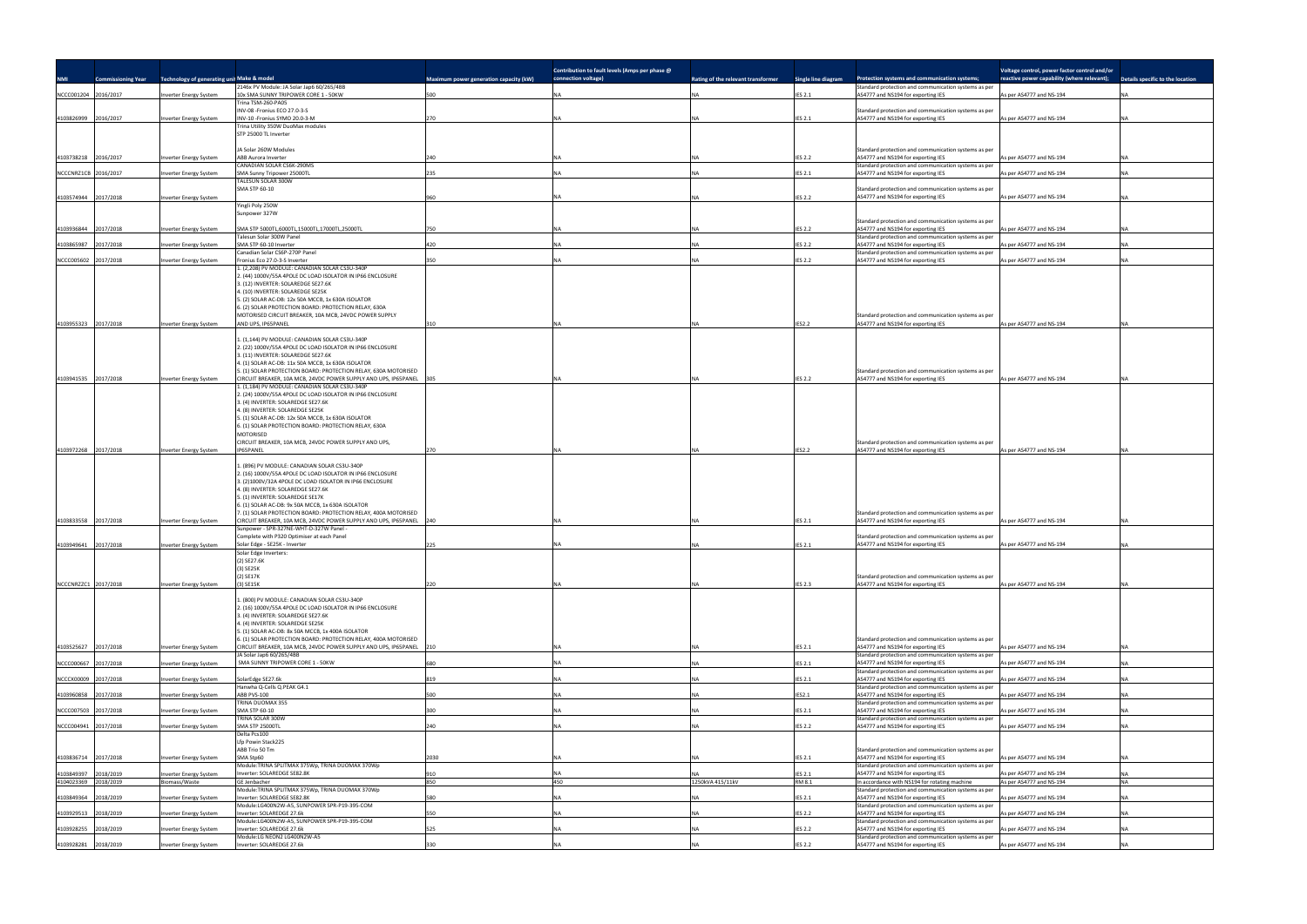| <b>NMI</b>                         | <b>Commissioning Year</b> | Technology of generating unit Make & model |                                                                                                                                                                                                                                                                                                    | <b>Maximum power generation capacity (kW)</b> | Contribution to fault levels (Amps per phase @<br>connection voltage) | Rating of the relevant transformer | Single line diagram      | Protection systems and communication systems;                                              | Voltage control, power factor control and/or<br>reactive power capability (where relevant); | Details specific to the location |
|------------------------------------|---------------------------|--------------------------------------------|----------------------------------------------------------------------------------------------------------------------------------------------------------------------------------------------------------------------------------------------------------------------------------------------------|-----------------------------------------------|-----------------------------------------------------------------------|------------------------------------|--------------------------|--------------------------------------------------------------------------------------------|---------------------------------------------------------------------------------------------|----------------------------------|
|                                    |                           |                                            | 2146x PV Module: JA Solar Jap6 60/265/4BB<br>10x SMA SUNNY TRIPOWER CORE 1 - 50KW                                                                                                                                                                                                                  |                                               |                                                                       |                                    |                          | Standard protection and communication systems as per                                       |                                                                                             |                                  |
| NCCC001204                         | 2016/2017                 | nverter Energy System                      | Trina TSM-260-PA05                                                                                                                                                                                                                                                                                 | 500                                           |                                                                       |                                    | <b>IES 2.1</b>           | AS4777 and NS194 for exporting IES                                                         | As per AS4777 and NS-194                                                                    |                                  |
| 4103826999                         | 2016/2017                 | <b>Inverter Energy System</b>              | INV-08 -Fronius ECO 27.0-3-S<br>INV-10 -Fronius SYMO 20.0-3-M                                                                                                                                                                                                                                      | 270                                           |                                                                       |                                    | <b>IES 2.1</b>           | Standard protection and communication systems as per<br>AS4777 and NS194 for exporting IES | As per AS4777 and NS-194                                                                    |                                  |
|                                    |                           |                                            | Trina Utility 350W DuoMax modules<br>STP 25000 TL Inverter                                                                                                                                                                                                                                         |                                               |                                                                       |                                    |                          |                                                                                            |                                                                                             |                                  |
| 4103738218                         | 2016/2017                 | Inverter Energy System                     | JA Solar 260W Modules<br><b>ABB Aurora Inverter</b>                                                                                                                                                                                                                                                | 240                                           |                                                                       |                                    | <b>IES 2.2</b>           | Standard protection and communication systems as per<br>AS4777 and NS194 for exporting IES | As per AS4777 and NS-194                                                                    |                                  |
| NCCCNRZ1CB 2016/2017               |                           | nverter Energy System                      | CANADIAN SOLAR CS6K-290MS<br>SMA Sunny Tripower 25000TL                                                                                                                                                                                                                                            | 235                                           |                                                                       |                                    | <b>IES 2.1</b>           | Standard protection and communication systems as per<br>AS4777 and NS194 for exporting IES | As per AS4777 and NS-194                                                                    |                                  |
|                                    |                           |                                            | TALESUN SOLAR 300W                                                                                                                                                                                                                                                                                 |                                               |                                                                       |                                    |                          |                                                                                            |                                                                                             |                                  |
| 4103574944                         | 2017/2018                 | <b>Inverter Energy System</b>              | SMA STP 60-10                                                                                                                                                                                                                                                                                      | 960                                           |                                                                       |                                    | <b>IES 2.2</b>           | Standard protection and communication systems as per<br>AS4777 and NS194 for exporting IES | As per AS4777 and NS-194                                                                    |                                  |
|                                    |                           |                                            | Yingli Poly 250W<br>Sunpower 327W                                                                                                                                                                                                                                                                  |                                               |                                                                       |                                    |                          |                                                                                            |                                                                                             |                                  |
| 4103936844                         | 2017/2018                 | <b>Inverter Energy System</b>              | SMA STP 5000TL,6000TL,15000TL,17000TL,25000TL                                                                                                                                                                                                                                                      | 750                                           |                                                                       |                                    | <b>IES 2.2</b>           | Standard protection and communication systems as per<br>AS4777 and NS194 for exporting IES | As per AS4777 and NS-194                                                                    |                                  |
| 1103865987                         | 2017/2018                 | <b>Inverter Energy System</b>              | Talesun Solar 300W Panel<br>SMA STP 60-10 Inverter                                                                                                                                                                                                                                                 | 420                                           |                                                                       |                                    | <b>IES 2.2</b>           | Standard protection and communication systems as per<br>AS4777 and NS194 for exporting IES | s per AS4777 and NS-194                                                                     |                                  |
|                                    |                           |                                            | Canadian Solar CS6P-270P Panel                                                                                                                                                                                                                                                                     |                                               |                                                                       |                                    |                          | Standard protection and communication systems as per                                       |                                                                                             |                                  |
| NCCC005602 2017/2018               |                           | Inverter Energy System                     | Fronius Eco 27.0-3-S Inverter<br>1. (2,208) PV MODULE: CANADIAN SOLAR CS3U-340P                                                                                                                                                                                                                    | 350                                           |                                                                       |                                    | <b>IES 2.2</b>           | AS4777 and NS194 for exporting IES                                                         | As per AS4777 and NS-194                                                                    |                                  |
|                                    |                           |                                            | 2. (44) 1000V/55A 4POLE DC LOAD ISOLATOR IN IP66 ENCLOSURE<br>3. (12) INVERTER: SOLAREDGE SE27.6K<br>4. (10) INVERTER: SOLAREDGE SE25K<br>5. (2) SOLAR AC-DB: 12x 50A MCCB, 1x 630A ISOLATOR<br>6. (2) SOLAR PROTECTION BOARD: PROTECTION RELAY, 630A                                              |                                               |                                                                       |                                    |                          |                                                                                            |                                                                                             |                                  |
| 4103955323 2017/2018               |                           | Inverter Energy System                     | MOTORISED CIRCUIT BREAKER, 10A MCB, 24VDC POWER SUPPLY<br>AND UPS, IP65PANEL                                                                                                                                                                                                                       | 310                                           |                                                                       |                                    | <b>IES2.2</b>            | Standard protection and communication systems as per<br>AS4777 and NS194 for exporting IES | As per AS4777 and NS-194                                                                    |                                  |
|                                    |                           |                                            | (1,144) PV MODULE: CANADIAN SOLAR CS3U-340P                                                                                                                                                                                                                                                        |                                               |                                                                       |                                    |                          |                                                                                            |                                                                                             |                                  |
|                                    |                           |                                            | 2. (22) 1000V/55A 4POLE DC LOAD ISOLATOR IN IP66 ENCLOSURE<br>3. (11) INVERTER: SOLAREDGE SE27.6K                                                                                                                                                                                                  |                                               |                                                                       |                                    |                          |                                                                                            |                                                                                             |                                  |
|                                    |                           |                                            | 4. (1) SOLAR AC-DB: 11x 50A MCCB, 1x 630A ISOLATOR<br>5. (1) SOLAR PROTECTION BOARD: PROTECTION RELAY, 630A MOTORISED                                                                                                                                                                              |                                               |                                                                       |                                    |                          | Standard protection and communication systems as per                                       |                                                                                             |                                  |
| 4103941535 2017/2018               |                           | <b>Inverter Energy System</b>              | CIRCUIT BREAKER, 10A MCB, 24VDC POWER SUPPLY AND UPS, IP65PANEL 305                                                                                                                                                                                                                                |                                               |                                                                       |                                    | <b>IES 2.2</b>           | AS4777 and NS194 for exporting IES                                                         | As per AS4777 and NS-194                                                                    |                                  |
|                                    |                           |                                            | 1. (1,184) PV MODULE: CANADIAN SOLAR CS3U-340P<br>2. (24) 1000V/55A 4POLE DC LOAD ISOLATOR IN IP66 ENCLOSURE                                                                                                                                                                                       |                                               |                                                                       |                                    |                          |                                                                                            |                                                                                             |                                  |
|                                    |                           |                                            | 3. (4) INVERTER: SOLAREDGE SE27.6K                                                                                                                                                                                                                                                                 |                                               |                                                                       |                                    |                          |                                                                                            |                                                                                             |                                  |
|                                    |                           |                                            | 4. (8) INVERTER: SOLAREDGE SE25K<br>5. (1) SOLAR AC-DB: 12x 50A MCCB, 1x 630A ISOLATOR                                                                                                                                                                                                             |                                               |                                                                       |                                    |                          |                                                                                            |                                                                                             |                                  |
|                                    |                           |                                            | 6. (1) SOLAR PROTECTION BOARD: PROTECTION RELAY, 630A                                                                                                                                                                                                                                              |                                               |                                                                       |                                    |                          |                                                                                            |                                                                                             |                                  |
|                                    |                           |                                            | <b>MOTORISED</b><br>CIRCUIT BREAKER, 10A MCB, 24VDC POWER SUPPLY AND UPS,                                                                                                                                                                                                                          |                                               |                                                                       |                                    |                          | Standard protection and communication systems as per                                       |                                                                                             |                                  |
| 4103972268 2017/2018               |                           | <b>Inverter Energy System</b>              | IP65PANEL                                                                                                                                                                                                                                                                                          | 270                                           |                                                                       |                                    | <b>IES2.2</b>            | AS4777 and NS194 for exporting IES                                                         | As per AS4777 and NS-194                                                                    |                                  |
|                                    |                           |                                            | (896) PV MODULE: CANADIAN SOLAR CS3U-340P<br>2. (16) 1000V/55A 4POLE DC LOAD ISOLATOR IN IP66 ENCLOSURE<br>3. (2)1000V/32A 4POLE DC LOAD ISOLATOR IN IP66 ENCLOSURE<br>4. (8) INVERTER: SOLAREDGE SE27.6K<br>5. (1) INVERTER: SOLAREDGE SE17K<br>6. (1) SOLAR AC-DB: 9x 50A MCCB, 1x 630A ISOLATOR |                                               |                                                                       |                                    |                          |                                                                                            |                                                                                             |                                  |
|                                    |                           |                                            | 7. (1) SOLAR PROTECTION BOARD: PROTECTION RELAY, 400A MOTORISED                                                                                                                                                                                                                                    |                                               |                                                                       |                                    |                          | Standard protection and communication systems as per                                       |                                                                                             |                                  |
| 4103833558 2017/2018               |                           | Inverter Energy System                     | CIRCUIT BREAKER, 10A MCB, 24VDC POWER SUPPLY AND UPS, IP65PANEL 240<br>Sunpower - SPR-327NE-WHT-D-327W Panel -                                                                                                                                                                                     |                                               |                                                                       |                                    | <b>IES 2.1</b>           | AS4777 and NS194 for exporting IES                                                         | As per AS4777 and NS-194                                                                    |                                  |
|                                    |                           |                                            | Complete with P320 Optimiser at each Panel                                                                                                                                                                                                                                                         |                                               |                                                                       |                                    |                          | Standard protection and communication systems as per                                       |                                                                                             |                                  |
| 4103949641 2017/2018               |                           | Inverter Energy System                     | Solar Edge - SE25K - Inverter<br>Solar Edge Inverters:                                                                                                                                                                                                                                             | 225                                           |                                                                       |                                    | <b>IES 2.1</b>           | AS4777 and NS194 for exporting IES                                                         | As per AS4777 and NS-194                                                                    |                                  |
|                                    |                           |                                            | (2) SE27.6K<br>(3) SE25K                                                                                                                                                                                                                                                                           |                                               |                                                                       |                                    |                          |                                                                                            |                                                                                             |                                  |
|                                    |                           |                                            | (2) SE17K                                                                                                                                                                                                                                                                                          |                                               |                                                                       |                                    |                          | Standard protection and communication systems as per                                       |                                                                                             |                                  |
| NCCCNRZZC1 2017/2018               |                           | Inverter Energy System                     | (3) SE15K                                                                                                                                                                                                                                                                                          | 220                                           |                                                                       |                                    | <b>IES 2.3</b>           | AS4777 and NS194 for exporting IES                                                         | As per AS4777 and NS-194                                                                    |                                  |
|                                    |                           |                                            | 1. (800) PV MODULE: CANADIAN SOLAR CS3U-340P<br>. (16) 1000V/55A 4POLE DC LOAD ISOLATOR IN IP66 ENCLOSURE<br>3. (4) INVERTER: SOLAREDGE SE27.6K<br>4. (4) INVERTER: SOLAREDGE SE25K<br>5. (1) SOLAR AC-DB: 8x 50A MCCB, 1x 400A ISOLATOR                                                           |                                               |                                                                       |                                    |                          |                                                                                            |                                                                                             |                                  |
| 4103525627                         | 2017/2018                 | nverter Energy System                      | 6. (1) SOLAR PROTECTION BOARD: PROTECTION RELAY, 400A MOTORISED<br>CIRCUIT BREAKER, 10A MCB, 24VDC POWER SUPPLY AND UPS, IP65PANEL 210                                                                                                                                                             |                                               |                                                                       |                                    | <b>IES 2.1</b>           | Standard protection and communication systems as per<br>AS4777 and NS194 for exporting IES | As per AS4777 and NS-194                                                                    |                                  |
|                                    |                           |                                            | JA Solar Jap6 60/265/4BB<br>SMA SUNNY TRIPOWER CORE 1 - 50KW                                                                                                                                                                                                                                       |                                               |                                                                       |                                    |                          | Standard protection and communication systems as per                                       | As per AS4777 and NS-194                                                                    |                                  |
| NCCC000667 2017/2018               |                           | Inverter Energy System                     |                                                                                                                                                                                                                                                                                                    | 680                                           |                                                                       |                                    | <b>IES 2.1</b>           | AS4777 and NS194 for exporting IES<br>Standard protection and communication systems as per |                                                                                             |                                  |
| NCCCX00009 2017/2018               |                           | Inverter Energy System                     | SolarEdge SE27.6k<br>Hanwha Q-Cells Q.PEAK G4.1                                                                                                                                                                                                                                                    | 819                                           |                                                                       |                                    | <b>IES 2.1</b>           | AS4777 and NS194 for exporting IES<br>Standard protection and communication systems as per | As per AS4777 and NS-194                                                                    |                                  |
| 1103960858                         | 2017/2018                 | nverter Energy System                      | ABB PVS-100                                                                                                                                                                                                                                                                                        | 500                                           |                                                                       |                                    | IES2.1                   | AS4777 and NS194 for exporting IES                                                         | s per AS4777 and NS-194                                                                     |                                  |
| VCCC007503 2017/2018               |                           | nverter Energy System                      | TRINA DUOMAX 355<br>SMA STP 60-10                                                                                                                                                                                                                                                                  | 300                                           |                                                                       |                                    | <b>IES 2.1</b>           | Standard protection and communication systems as per<br>AS4777 and NS194 for exporting IES | s per AS4777 and NS-194                                                                     |                                  |
|                                    |                           |                                            | TRINA SOLAR 300W                                                                                                                                                                                                                                                                                   |                                               |                                                                       |                                    |                          | Standard protection and communication systems as per                                       |                                                                                             |                                  |
| NCCC004941 2017/2018               |                           | nverter Energy System                      | SMA STP 25000TL<br>Delta Pcs100<br>Lfp Powin Stack225                                                                                                                                                                                                                                              | 240                                           |                                                                       |                                    | <b>IES 2.2</b>           | AS4777 and NS194 for exporting IES                                                         | As per AS4777 and NS-194                                                                    |                                  |
| 4103836714 2017/2018               |                           | <b>Inverter Energy System</b>              | ABB Trio 50 Tm<br>SMA Stp60                                                                                                                                                                                                                                                                        | 2030                                          |                                                                       |                                    | <b>IES 2.1</b>           | Standard protection and communication systems as per<br>AS4777 and NS194 for exporting IES | As per AS4777 and NS-194                                                                    |                                  |
|                                    |                           |                                            | Module:TRINA SPLITMAX 375Wp, TRINA DUOMAX 370Wp                                                                                                                                                                                                                                                    |                                               |                                                                       |                                    |                          | Standard protection and communication systems as per                                       |                                                                                             |                                  |
| 1103849397<br>4104023369 2018/2019 | 2018/2019                 | nverter Energy System<br>Biomass/Waste     | Inverter: SOLAREDGE SE82.8K<br>GE Jenbacher                                                                                                                                                                                                                                                        | 910<br>850                                    | 450                                                                   | 1250kVA 415/11kV                   | <b>IES 2.1</b><br>RM 8.1 | AS4777 and NS194 for exporting IES<br>In accordance with NS194 for rotating machine        | As per AS4777 and NS-194<br>As per AS4777 and NS-194                                        | <b>NA</b>                        |
|                                    |                           |                                            | Module:TRINA SPLITMAX 375Wp, TRINA DUOMAX 370Wp                                                                                                                                                                                                                                                    |                                               |                                                                       |                                    |                          | Standard protection and communication systems as per                                       |                                                                                             |                                  |
| 4103849364                         | 2018/2019                 | Inverter Energy System                     | Inverter: SOLAREDGE SE82.8K<br>Module:LG400N2W-A5, SUNPOWER SPR-P19-395-COM                                                                                                                                                                                                                        | 580                                           |                                                                       |                                    | <b>IES 2.1</b>           | AS4777 and NS194 for exporting IES<br>Standard protection and communication systems as per | As per AS4777 and NS-194                                                                    |                                  |
| 1103929513                         | 2018/2019                 | nverter Energy System                      | Inverter: SOLAREDGE 27.6k<br>Module:LG400N2W-A5, SUNPOWER SPR-P19-395-COM                                                                                                                                                                                                                          | 550                                           |                                                                       |                                    | <b>IES 2.2</b>           | AS4777 and NS194 for exporting IES<br>Standard protection and communication systems as per | s per AS4777 and NS-194                                                                     |                                  |
| 1103928255                         | 2018/2019                 | nverter Energy System                      | nverter: SOLAREDGE 27.6k                                                                                                                                                                                                                                                                           | 525                                           |                                                                       |                                    | <b>IES 2.2</b>           | AS4777 and NS194 for exporting IES                                                         | As per AS4777 and NS-194                                                                    |                                  |
| 4103928281                         | 2018/2019                 | nverter Energy System                      | Module:LG NEON2 LG400N2W-A5<br>nverter: SOLAREDGE 27.6k                                                                                                                                                                                                                                            | 330                                           |                                                                       |                                    | <b>IES 2.2</b>           | Standard protection and communication systems as per<br>AS4777 and NS194 for exporting IES | As per AS4777 and NS-194                                                                    |                                  |
|                                    |                           |                                            |                                                                                                                                                                                                                                                                                                    |                                               |                                                                       |                                    |                          |                                                                                            |                                                                                             |                                  |